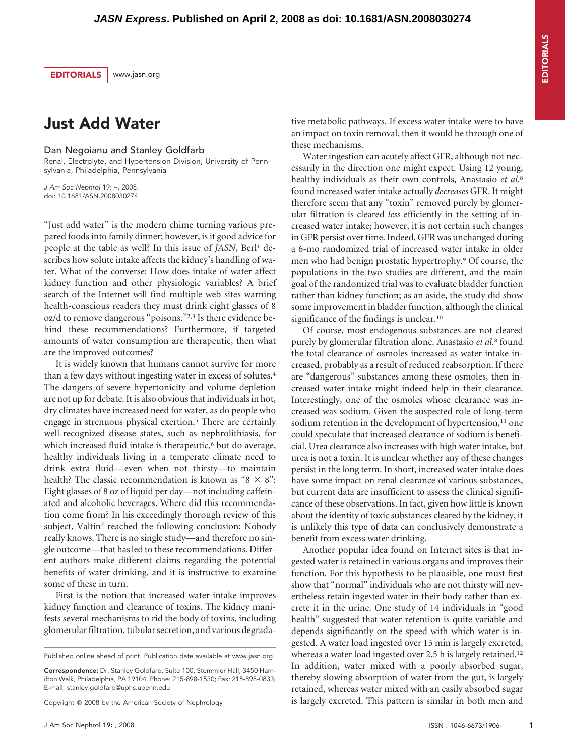EDITORIALS www.jasn.org

## Just Add Water

Dan Negoianu and Stanley Goldfarb

Renal, Electrolyte, and Hypertension Division, University of Pennsylvania, Philadelphia, Pennsylvania

*J Am Soc Nephrol* 19: –, 2008. doi: 10.1681/ASN.2008030274

"Just add water" is the modern chime turning various prepared foods into family dinner; however, is it good advice for people at the table as well? In this issue of *JASN*, Berl<sup>1</sup> describes how solute intake affects the kidney's handling of water. What of the converse: How does intake of water affect kidney function and other physiologic variables? A brief search of the Internet will find multiple web sites warning health-conscious readers they must drink eight glasses of 8 oz/d to remove dangerous "poisons."2,3 Is there evidence behind these recommendations? Furthermore, if targeted amounts of water consumption are therapeutic, then what are the improved outcomes?

It is widely known that humans cannot survive for more than a few days without ingesting water in excess of solutes.4 The dangers of severe hypertonicity and volume depletion are not up for debate. It is also obvious that individuals in hot, dry climates have increased need for water, as do people who engage in strenuous physical exertion.<sup>5</sup> There are certainly well-recognized disease states, such as nephrolithiasis, for which increased fluid intake is therapeutic,<sup>6</sup> but do average, healthy individuals living in a temperate climate need to drink extra fluid— even when not thirsty—to maintain health? The classic recommendation is known as " $8 \times 8$ ": Eight glasses of 8 oz of liquid per day—not including caffeinated and alcoholic beverages. Where did this recommendation come from? In his exceedingly thorough review of this subject, Valtin<sup>7</sup> reached the following conclusion: Nobody really knows. There is no single study—and therefore no single outcome—that has led to these recommendations. Different authors make different claims regarding the potential benefits of water drinking, and it is instructive to examine some of these in turn.

First is the notion that increased water intake improves kidney function and clearance of toxins. The kidney manifests several mechanisms to rid the body of toxins, including glomerular filtration, tubular secretion, and various degrada-

Correspondence: Dr. Stanley Goldfarb, Suite 100, Stemmler Hall, 3450 Hamilton Walk, Philadelphia, PA 19104. Phone: 215-898-1530; Fax: 215-898-0833; E-mail: stanley.goldfarb@uphs.upenn.edu

Copyright © 2008 by the American Society of Nephrology

tive metabolic pathways. If excess water intake were to have an impact on toxin removal, then it would be through one of these mechanisms.

Water ingestion can acutely affect GFR, although not necessarily in the direction one might expect. Using 12 young, healthy individuals as their own controls, Anastasio *et al.*<sup>8</sup> found increased water intake actually *decreases* GFR. It might therefore seem that any "toxin" removed purely by glomerular filtration is cleared *less* efficiently in the setting of increased water intake; however, it is not certain such changes in GFR persist over time. Indeed, GFR was unchanged during a 6-mo randomized trial of increased water intake in older men who had benign prostatic hypertrophy.9 Of course, the populations in the two studies are different, and the main goal of the randomized trial was to evaluate bladder function rather than kidney function; as an aside, the study did show some improvement in bladder function, although the clinical significance of the findings is unclear.<sup>10</sup>

Of course, most endogenous substances are not cleared purely by glomerular filtration alone. Anastasio *et al.*<sup>8</sup> found the total clearance of osmoles increased as water intake increased, probably as a result of reduced reabsorption. If there are "dangerous" substances among these osmoles, then increased water intake might indeed help in their clearance. Interestingly, one of the osmoles whose clearance was increased was sodium. Given the suspected role of long-term sodium retention in the development of hypertension, $11$  one could speculate that increased clearance of sodium is beneficial. Urea clearance also increases with high water intake, but urea is not a toxin. It is unclear whether any of these changes persist in the long term. In short, increased water intake does have some impact on renal clearance of various substances, but current data are insufficient to assess the clinical significance of these observations. In fact, given how little is known about the identity of toxic substances cleared by the kidney, it is unlikely this type of data can conclusively demonstrate a benefit from excess water drinking.

Another popular idea found on Internet sites is that ingested water is retained in various organs and improves their function. For this hypothesis to be plausible, one must first show that "normal" individuals who are not thirsty will nevertheless retain ingested water in their body rather than excrete it in the urine. One study of 14 individuals in "good health" suggested that water retention is quite variable and depends significantly on the speed with which water is ingested. A water load ingested over 15 min is largely excreted, whereas a water load ingested over 2.5 h is largely retained.<sup>12</sup> In addition, water mixed with a poorly absorbed sugar, thereby slowing absorption of water from the gut, is largely retained, whereas water mixed with an easily absorbed sugar is largely excreted. This pattern is similar in both men and

Published online ahead of print. Publication date available at www.jasn.org.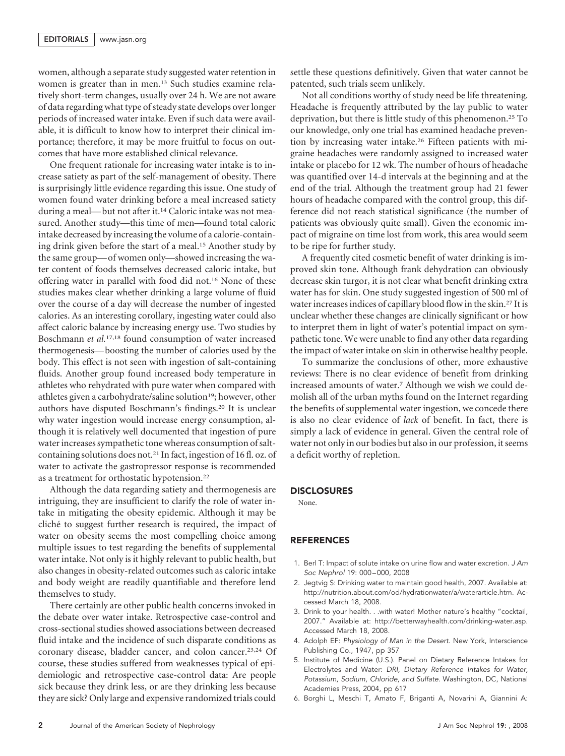women, although a separate study suggested water retention in women is greater than in men.13 Such studies examine relatively short-term changes, usually over 24 h. We are not aware of data regarding what type of steady state develops over longer periods of increased water intake. Even if such data were available, it is difficult to know how to interpret their clinical importance; therefore, it may be more fruitful to focus on outcomes that have more established clinical relevance.

One frequent rationale for increasing water intake is to increase satiety as part of the self-management of obesity. There is surprisingly little evidence regarding this issue. One study of women found water drinking before a meal increased satiety during a meal— but not after it.14 Caloric intake was not measured. Another study—this time of men—found total caloric intake decreased by increasing the volume of a calorie-containing drink given before the start of a meal.15 Another study by the same group— of women only—showed increasing the water content of foods themselves decreased caloric intake, but offering water in parallel with food did not.16 None of these studies makes clear whether drinking a large volume of fluid over the course of a day will decrease the number of ingested calories. As an interesting corollary, ingesting water could also affect caloric balance by increasing energy use. Two studies by Boschmann *et al.*17,18 found consumption of water increased thermogenesis— boosting the number of calories used by the body. This effect is not seen with ingestion of salt-containing fluids. Another group found increased body temperature in athletes who rehydrated with pure water when compared with athletes given a carbohydrate/saline solution<sup>19</sup>; however, other authors have disputed Boschmann's findings.20 It is unclear why water ingestion would increase energy consumption, although it is relatively well documented that ingestion of pure water increases sympathetic tone whereas consumption of saltcontaining solutions does not.21 In fact, ingestion of 16 fl. oz. of water to activate the gastropressor response is recommended as a treatment for orthostatic hypotension.22

Although the data regarding satiety and thermogenesis are intriguing, they are insufficient to clarify the role of water intake in mitigating the obesity epidemic. Although it may be cliché to suggest further research is required, the impact of water on obesity seems the most compelling choice among multiple issues to test regarding the benefits of supplemental water intake. Not only is it highly relevant to public health, but also changes in obesity-related outcomes such as caloric intake and body weight are readily quantifiable and therefore lend themselves to study.

There certainly are other public health concerns invoked in the debate over water intake. Retrospective case-control and cross-sectional studies showed associations between decreased fluid intake and the incidence of such disparate conditions as coronary disease, bladder cancer, and colon cancer.23,24 Of course, these studies suffered from weaknesses typical of epidemiologic and retrospective case-control data: Are people sick because they drink less, or are they drinking less because they are sick? Only large and expensive randomized trials could

settle these questions definitively. Given that water cannot be patented, such trials seem unlikely.

Not all conditions worthy of study need be life threatening. Headache is frequently attributed by the lay public to water deprivation, but there is little study of this phenomenon.25 To our knowledge, only one trial has examined headache prevention by increasing water intake.26 Fifteen patients with migraine headaches were randomly assigned to increased water intake or placebo for 12 wk. The number of hours of headache was quantified over 14-d intervals at the beginning and at the end of the trial. Although the treatment group had 21 fewer hours of headache compared with the control group, this difference did not reach statistical significance (the number of patients was obviously quite small). Given the economic impact of migraine on time lost from work, this area would seem to be ripe for further study.

A frequently cited cosmetic benefit of water drinking is improved skin tone. Although frank dehydration can obviously decrease skin turgor, it is not clear what benefit drinking extra water has for skin. One study suggested ingestion of 500 ml of water increases indices of capillary blood flow in the skin.27 It is unclear whether these changes are clinically significant or how to interpret them in light of water's potential impact on sympathetic tone. We were unable to find any other data regarding the impact of water intake on skin in otherwise healthy people.

To summarize the conclusions of other, more exhaustive reviews: There is no clear evidence of benefit from drinking increased amounts of water.7 Although we wish we could demolish all of the urban myths found on the Internet regarding the benefits of supplemental water ingestion, we concede there is also no clear evidence of *lack* of benefit. In fact, there is simply a lack of evidence in general. Given the central role of water not only in our bodies but also in our profession, it seems a deficit worthy of repletion.

## DISCLOSURES

None.

## REFERENCES

- 1. Berl T: Impact of solute intake on urine flow and water excretion. *J Am Soc Nephrol* 19: 000 – 000, 2008
- 2. Jegtvig S: Drinking water to maintain good health, 2007. Available at: http://nutrition.about.com/od/hydrationwater/a/waterarticle.htm. Accessed March 18, 2008.
- 3. Drink to your health. . .with water! Mother nature's healthy "cocktail, 2007." Available at: http://betterwayhealth.com/drinking-water.asp. Accessed March 18, 2008.
- 4. Adolph EF: *Physiology of Man in the Desert.* New York, Interscience Publishing Co., 1947, pp 357
- 5. Institute of Medicine (U.S.). Panel on Dietary Reference Intakes for Electrolytes and Water: *DRI, Dietary Reference Intakes for Water, Potassium, Sodium, Chloride, and Sulfate.* Washington, DC, National Academies Press, 2004, pp 617
- 6. Borghi L, Meschi T, Amato F, Briganti A, Novarini A, Giannini A: